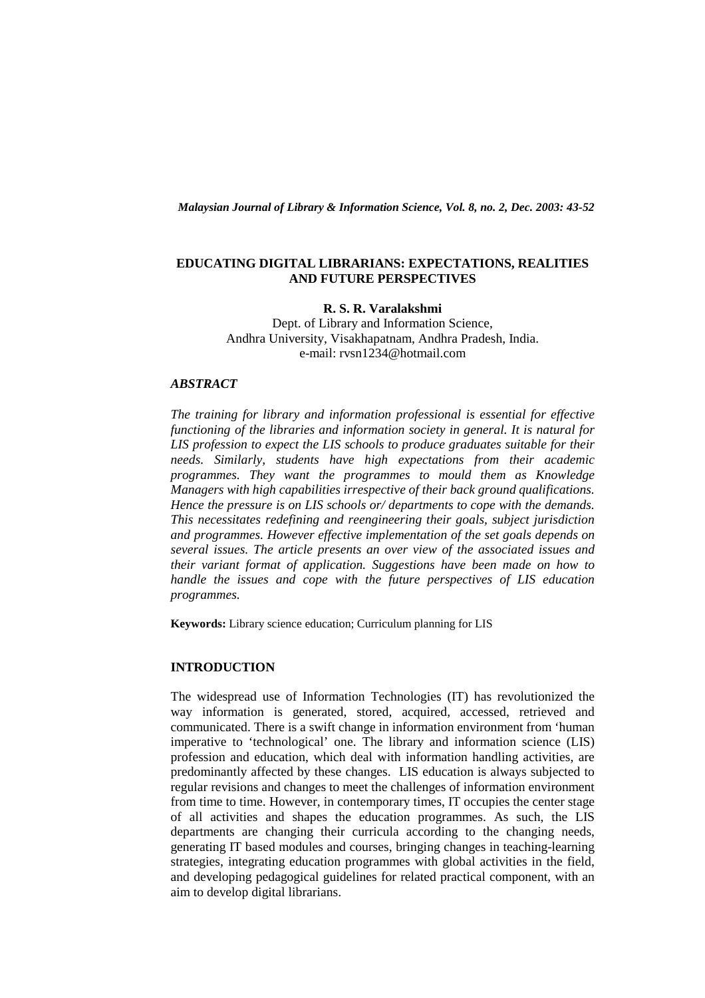*Malaysian Journal of Library & Information Science, Vol. 8, no. 2, Dec. 2003: 43-52* 

### **EDUCATING DIGITAL LIBRARIANS: EXPECTATIONS, REALITIES AND FUTURE PERSPECTIVES**

# **R. S. R. Varalakshmi**

Dept. of Library and Information Science, Andhra University, Visakhapatnam, Andhra Pradesh, India. e-mail: rvsn1234@hotmail.com

# *ABSTRACT*

*The training for library and information professional is essential for effective functioning of the libraries and information society in general. It is natural for LIS profession to expect the LIS schools to produce graduates suitable for their needs. Similarly, students have high expectations from their academic programmes. They want the programmes to mould them as Knowledge Managers with high capabilities irrespective of their back ground qualifications. Hence the pressure is on LIS schools or/ departments to cope with the demands. This necessitates redefining and reengineering their goals, subject jurisdiction and programmes. However effective implementation of the set goals depends on several issues. The article presents an over view of the associated issues and their variant format of application. Suggestions have been made on how to handle the issues and cope with the future perspectives of LIS education programmes.* 

**Keywords:** Library science education; Curriculum planning for LIS

## **INTRODUCTION**

The widespread use of Information Technologies (IT) has revolutionized the way information is generated, stored, acquired, accessed, retrieved and communicated. There is a swift change in information environment from 'human imperative to 'technological' one. The library and information science (LIS) profession and education, which deal with information handling activities, are predominantly affected by these changes. LIS education is always subjected to regular revisions and changes to meet the challenges of information environment from time to time. However, in contemporary times, IT occupies the center stage of all activities and shapes the education programmes. As such, the LIS departments are changing their curricula according to the changing needs, generating IT based modules and courses, bringing changes in teaching-learning strategies, integrating education programmes with global activities in the field, and developing pedagogical guidelines for related practical component, with an aim to develop digital librarians.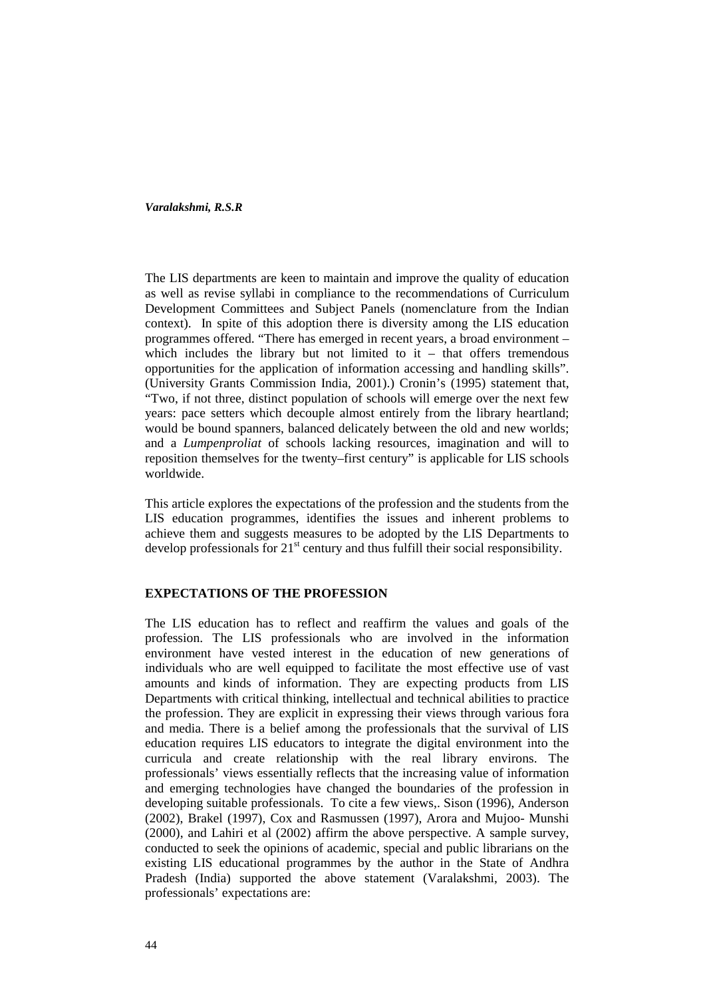The LIS departments are keen to maintain and improve the quality of education as well as revise syllabi in compliance to the recommendations of Curriculum Development Committees and Subject Panels (nomenclature from the Indian context). In spite of this adoption there is diversity among the LIS education programmes offered. "There has emerged in recent years, a broad environment – which includes the library but not limited to  $it - that$  offers tremendous opportunities for the application of information accessing and handling skills". (University Grants Commission India, 2001).) Cronin's (1995) statement that, "Two, if not three, distinct population of schools will emerge over the next few years: pace setters which decouple almost entirely from the library heartland; would be bound spanners, balanced delicately between the old and new worlds; and a *Lumpenproliat* of schools lacking resources, imagination and will to reposition themselves for the twenty–first century" is applicable for LIS schools worldwide.

This article explores the expectations of the profession and the students from the LIS education programmes, identifies the issues and inherent problems to achieve them and suggests measures to be adopted by the LIS Departments to develop professionals for  $21<sup>st</sup>$  century and thus fulfill their social responsibility.

### **EXPECTATIONS OF THE PROFESSION**

The LIS education has to reflect and reaffirm the values and goals of the profession. The LIS professionals who are involved in the information environment have vested interest in the education of new generations of individuals who are well equipped to facilitate the most effective use of vast amounts and kinds of information. They are expecting products from LIS Departments with critical thinking, intellectual and technical abilities to practice the profession. They are explicit in expressing their views through various fora and media. There is a belief among the professionals that the survival of LIS education requires LIS educators to integrate the digital environment into the curricula and create relationship with the real library environs. The professionals' views essentially reflects that the increasing value of information and emerging technologies have changed the boundaries of the profession in developing suitable professionals. To cite a few views,. Sison (1996), Anderson (2002), Brakel (1997), Cox and Rasmussen (1997), Arora and Mujoo- Munshi (2000), and Lahiri et al (2002) affirm the above perspective. A sample survey, conducted to seek the opinions of academic, special and public librarians on the existing LIS educational programmes by the author in the State of Andhra Pradesh (India) supported the above statement (Varalakshmi, 2003). The professionals' expectations are: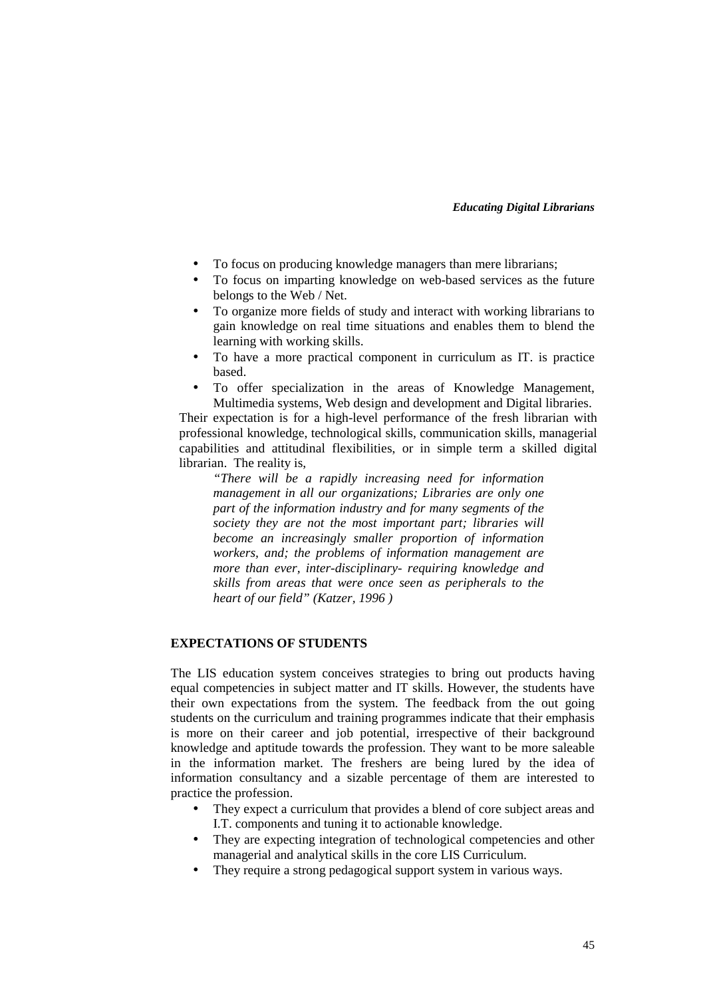- To focus on producing knowledge managers than mere librarians;
- To focus on imparting knowledge on web-based services as the future belongs to the Web / Net.
- To organize more fields of study and interact with working librarians to gain knowledge on real time situations and enables them to blend the learning with working skills.
- To have a more practical component in curriculum as IT. is practice based.
- To offer specialization in the areas of Knowledge Management, Multimedia systems, Web design and development and Digital libraries.

Their expectation is for a high-level performance of the fresh librarian with professional knowledge, technological skills, communication skills, managerial capabilities and attitudinal flexibilities, or in simple term a skilled digital librarian. The reality is,

*"There will be a rapidly increasing need for information management in all our organizations; Libraries are only one part of the information industry and for many segments of the society they are not the most important part; libraries will become an increasingly smaller proportion of information workers, and; the problems of information management are more than ever, inter-disciplinary- requiring knowledge and skills from areas that were once seen as peripherals to the heart of our field" (Katzer, 1996 )* 

# **EXPECTATIONS OF STUDENTS**

The LIS education system conceives strategies to bring out products having equal competencies in subject matter and IT skills. However, the students have their own expectations from the system. The feedback from the out going students on the curriculum and training programmes indicate that their emphasis is more on their career and job potential, irrespective of their background knowledge and aptitude towards the profession. They want to be more saleable in the information market. The freshers are being lured by the idea of information consultancy and a sizable percentage of them are interested to practice the profession.

- They expect a curriculum that provides a blend of core subject areas and I.T. components and tuning it to actionable knowledge.
- They are expecting integration of technological competencies and other managerial and analytical skills in the core LIS Curriculum.
- They require a strong pedagogical support system in various ways.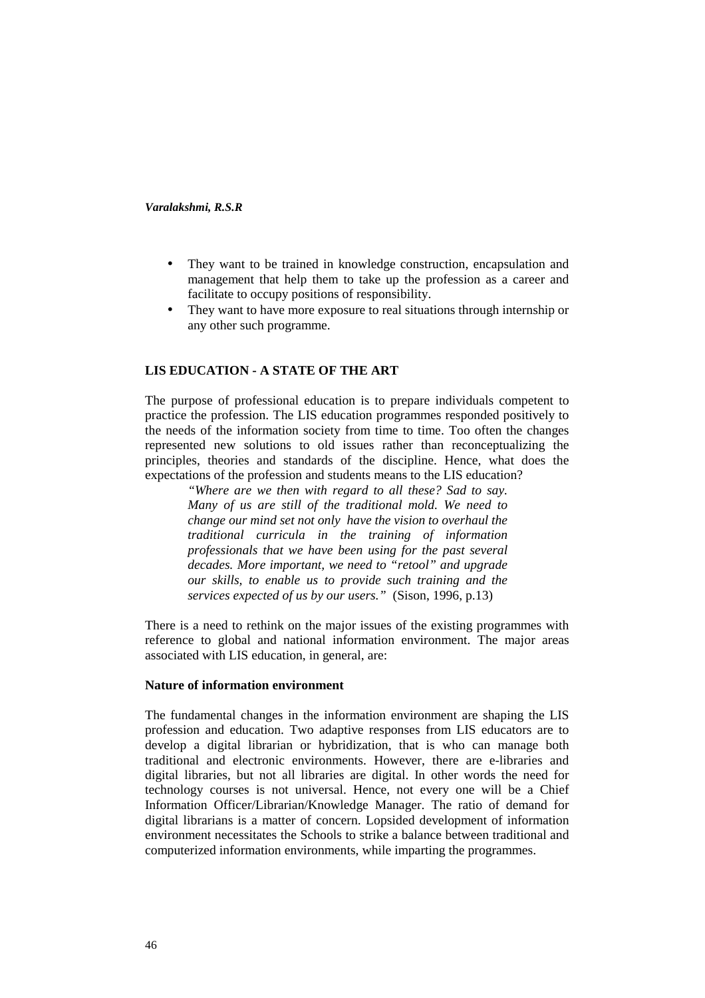- They want to be trained in knowledge construction, encapsulation and management that help them to take up the profession as a career and facilitate to occupy positions of responsibility.
- They want to have more exposure to real situations through internship or any other such programme.

# **LIS EDUCATION - A STATE OF THE ART**

The purpose of professional education is to prepare individuals competent to practice the profession. The LIS education programmes responded positively to the needs of the information society from time to time. Too often the changes represented new solutions to old issues rather than reconceptualizing the principles, theories and standards of the discipline. Hence, what does the expectations of the profession and students means to the LIS education?

*"Where are we then with regard to all these? Sad to say. Many of us are still of the traditional mold. We need to change our mind set not only have the vision to overhaul the traditional curricula in the training of information professionals that we have been using for the past several decades. More important, we need to "retool" and upgrade our skills, to enable us to provide such training and the services expected of us by our users."* (Sison, 1996, p.13)

There is a need to rethink on the major issues of the existing programmes with reference to global and national information environment. The major areas associated with LIS education, in general, are:

#### **Nature of information environment**

The fundamental changes in the information environment are shaping the LIS profession and education. Two adaptive responses from LIS educators are to develop a digital librarian or hybridization, that is who can manage both traditional and electronic environments. However, there are e-libraries and digital libraries, but not all libraries are digital. In other words the need for technology courses is not universal. Hence, not every one will be a Chief Information Officer/Librarian/Knowledge Manager. The ratio of demand for digital librarians is a matter of concern. Lopsided development of information environment necessitates the Schools to strike a balance between traditional and computerized information environments, while imparting the programmes.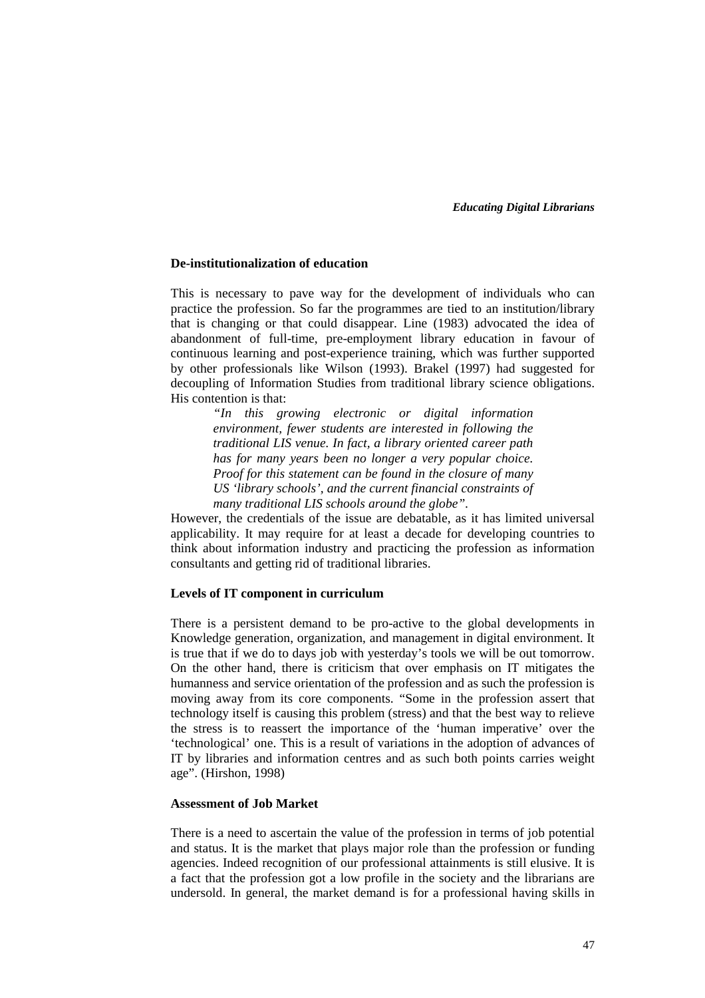#### **De-institutionalization of education**

This is necessary to pave way for the development of individuals who can practice the profession. So far the programmes are tied to an institution/library that is changing or that could disappear. Line (1983) advocated the idea of abandonment of full-time, pre-employment library education in favour of continuous learning and post-experience training, which was further supported by other professionals like Wilson (1993). Brakel (1997) had suggested for decoupling of Information Studies from traditional library science obligations. His contention is that:

> *"In this growing electronic or digital information environment, fewer students are interested in following the traditional LIS venue. In fact, a library oriented career path has for many years been no longer a very popular choice. Proof for this statement can be found in the closure of many US 'library schools', and the current financial constraints of many traditional LIS schools around the globe".*

However, the credentials of the issue are debatable, as it has limited universal applicability. It may require for at least a decade for developing countries to think about information industry and practicing the profession as information consultants and getting rid of traditional libraries.

### **Levels of IT component in curriculum**

There is a persistent demand to be pro-active to the global developments in Knowledge generation, organization, and management in digital environment. It is true that if we do to days job with yesterday's tools we will be out tomorrow. On the other hand, there is criticism that over emphasis on IT mitigates the humanness and service orientation of the profession and as such the profession is moving away from its core components. "Some in the profession assert that technology itself is causing this problem (stress) and that the best way to relieve the stress is to reassert the importance of the 'human imperative' over the 'technological' one. This is a result of variations in the adoption of advances of IT by libraries and information centres and as such both points carries weight age". (Hirshon, 1998)

# **Assessment of Job Market**

There is a need to ascertain the value of the profession in terms of job potential and status. It is the market that plays major role than the profession or funding agencies. Indeed recognition of our professional attainments is still elusive. It is a fact that the profession got a low profile in the society and the librarians are undersold. In general, the market demand is for a professional having skills in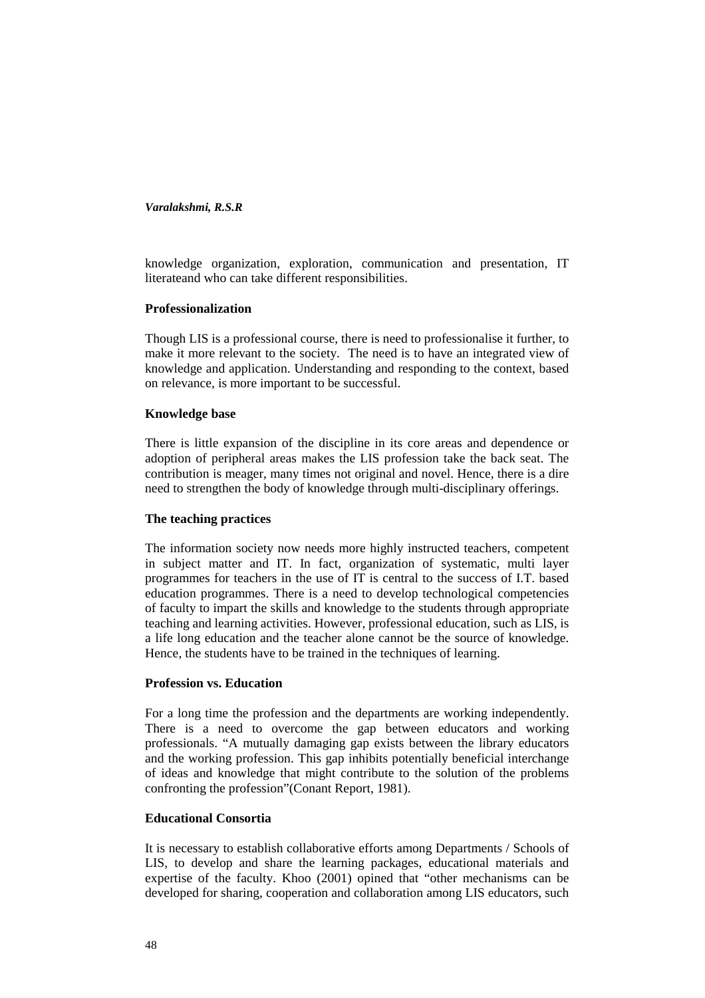knowledge organization, exploration, communication and presentation, IT literateand who can take different responsibilities.

### **Professionalization**

Though LIS is a professional course, there is need to professionalise it further, to make it more relevant to the society. The need is to have an integrated view of knowledge and application. Understanding and responding to the context, based on relevance, is more important to be successful.

## **Knowledge base**

There is little expansion of the discipline in its core areas and dependence or adoption of peripheral areas makes the LIS profession take the back seat. The contribution is meager, many times not original and novel. Hence, there is a dire need to strengthen the body of knowledge through multi-disciplinary offerings.

# **The teaching practices**

The information society now needs more highly instructed teachers, competent in subject matter and IT. In fact, organization of systematic, multi layer programmes for teachers in the use of IT is central to the success of I.T. based education programmes. There is a need to develop technological competencies of faculty to impart the skills and knowledge to the students through appropriate teaching and learning activities. However, professional education, such as LIS, is a life long education and the teacher alone cannot be the source of knowledge. Hence, the students have to be trained in the techniques of learning.

# **Profession vs. Education**

For a long time the profession and the departments are working independently. There is a need to overcome the gap between educators and working professionals. "A mutually damaging gap exists between the library educators and the working profession. This gap inhibits potentially beneficial interchange of ideas and knowledge that might contribute to the solution of the problems confronting the profession"(Conant Report, 1981).

# **Educational Consortia**

It is necessary to establish collaborative efforts among Departments / Schools of LIS, to develop and share the learning packages, educational materials and expertise of the faculty. Khoo (2001) opined that "other mechanisms can be developed for sharing, cooperation and collaboration among LIS educators, such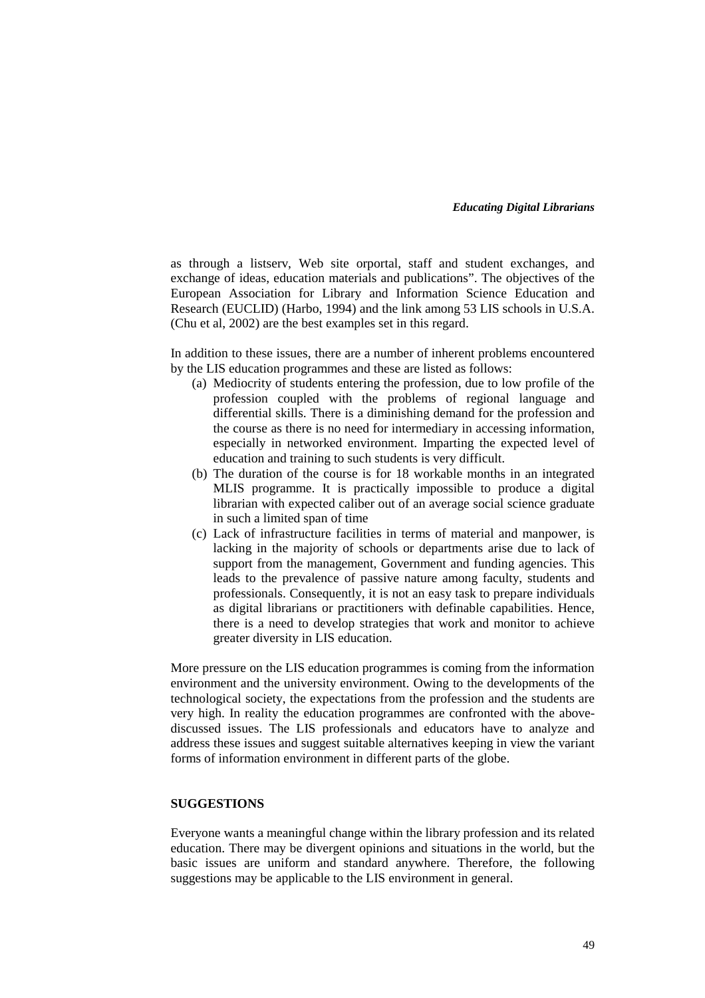as through a listserv, Web site orportal, staff and student exchanges, and exchange of ideas, education materials and publications". The objectives of the European Association for Library and Information Science Education and Research (EUCLID) (Harbo, 1994) and the link among 53 LIS schools in U.S.A. (Chu et al, 2002) are the best examples set in this regard.

In addition to these issues, there are a number of inherent problems encountered by the LIS education programmes and these are listed as follows:

- (a) Mediocrity of students entering the profession, due to low profile of the profession coupled with the problems of regional language and differential skills. There is a diminishing demand for the profession and the course as there is no need for intermediary in accessing information, especially in networked environment. Imparting the expected level of education and training to such students is very difficult.
- (b) The duration of the course is for 18 workable months in an integrated MLIS programme. It is practically impossible to produce a digital librarian with expected caliber out of an average social science graduate in such a limited span of time
- (c) Lack of infrastructure facilities in terms of material and manpower, is lacking in the majority of schools or departments arise due to lack of support from the management, Government and funding agencies. This leads to the prevalence of passive nature among faculty, students and professionals. Consequently, it is not an easy task to prepare individuals as digital librarians or practitioners with definable capabilities. Hence, there is a need to develop strategies that work and monitor to achieve greater diversity in LIS education.

More pressure on the LIS education programmes is coming from the information environment and the university environment. Owing to the developments of the technological society, the expectations from the profession and the students are very high. In reality the education programmes are confronted with the abovediscussed issues. The LIS professionals and educators have to analyze and address these issues and suggest suitable alternatives keeping in view the variant forms of information environment in different parts of the globe.

# **SUGGESTIONS**

Everyone wants a meaningful change within the library profession and its related education. There may be divergent opinions and situations in the world, but the basic issues are uniform and standard anywhere. Therefore, the following suggestions may be applicable to the LIS environment in general.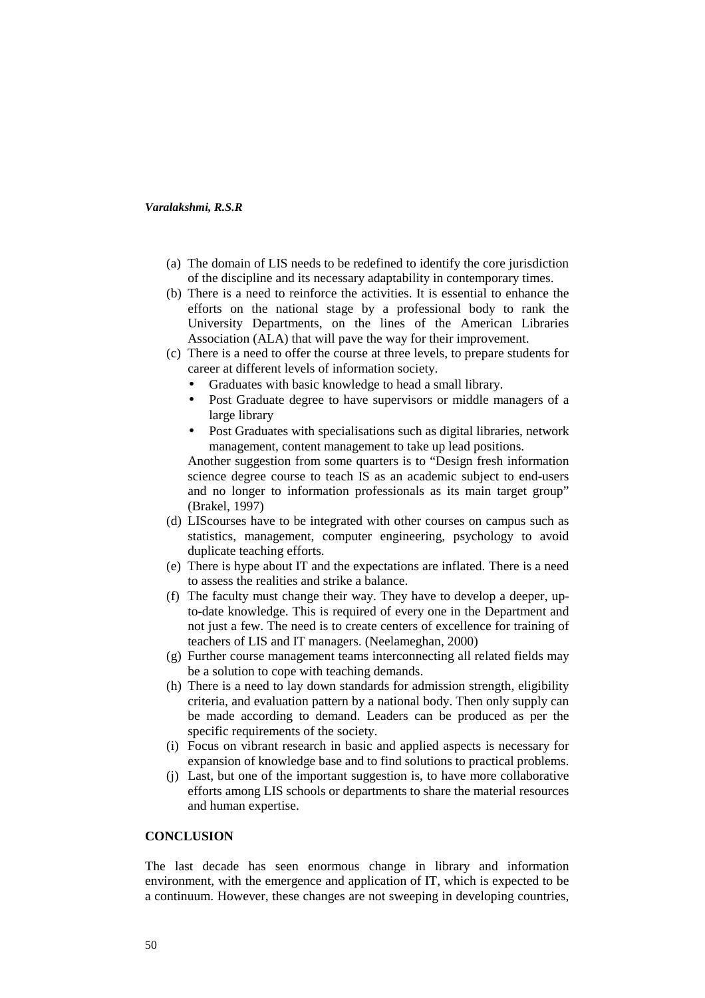- (a) The domain of LIS needs to be redefined to identify the core jurisdiction of the discipline and its necessary adaptability in contemporary times.
- (b) There is a need to reinforce the activities. It is essential to enhance the efforts on the national stage by a professional body to rank the University Departments, on the lines of the American Libraries Association (ALA) that will pave the way for their improvement.
- (c) There is a need to offer the course at three levels, to prepare students for career at different levels of information society.
	- Graduates with basic knowledge to head a small library.
	- Post Graduate degree to have supervisors or middle managers of a large library
	- Post Graduates with specialisations such as digital libraries, network management, content management to take up lead positions.

Another suggestion from some quarters is to "Design fresh information science degree course to teach IS as an academic subject to end-users and no longer to information professionals as its main target group" (Brakel, 1997)

- (d) LIScourses have to be integrated with other courses on campus such as statistics, management, computer engineering, psychology to avoid duplicate teaching efforts.
- (e) There is hype about IT and the expectations are inflated. There is a need to assess the realities and strike a balance.
- (f) The faculty must change their way. They have to develop a deeper, upto-date knowledge. This is required of every one in the Department and not just a few. The need is to create centers of excellence for training of teachers of LIS and IT managers. (Neelameghan, 2000)
- (g) Further course management teams interconnecting all related fields may be a solution to cope with teaching demands.
- (h) There is a need to lay down standards for admission strength, eligibility criteria, and evaluation pattern by a national body. Then only supply can be made according to demand. Leaders can be produced as per the specific requirements of the society.
- (i) Focus on vibrant research in basic and applied aspects is necessary for expansion of knowledge base and to find solutions to practical problems.
- (j) Last, but one of the important suggestion is, to have more collaborative efforts among LIS schools or departments to share the material resources and human expertise.

# **CONCLUSION**

The last decade has seen enormous change in library and information environment, with the emergence and application of IT, which is expected to be a continuum. However, these changes are not sweeping in developing countries,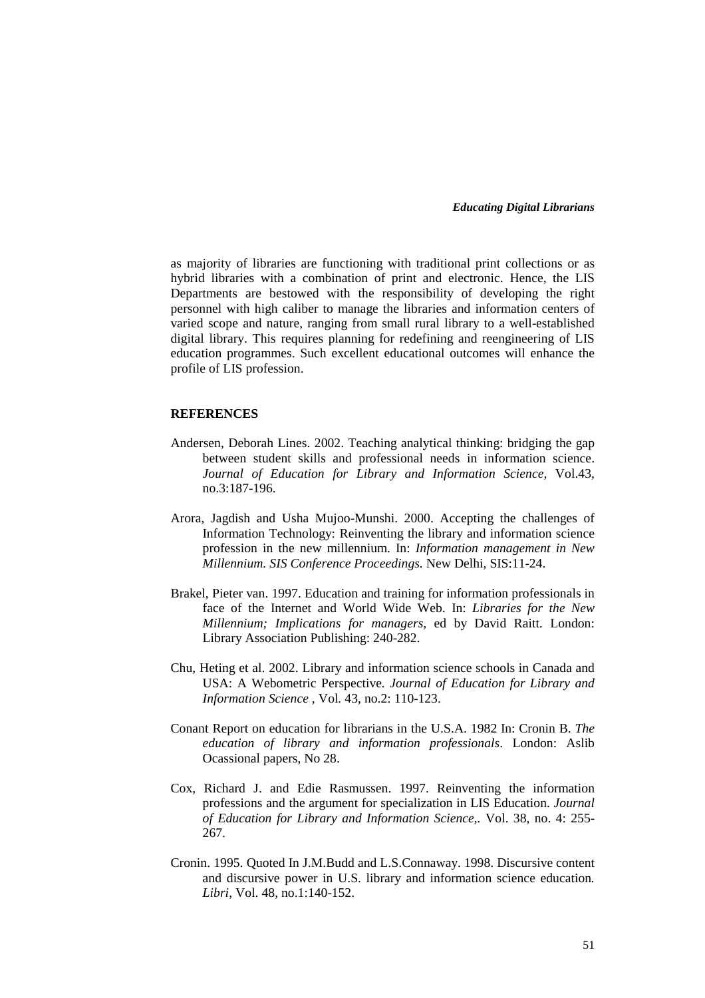as majority of libraries are functioning with traditional print collections or as hybrid libraries with a combination of print and electronic. Hence, the LIS Departments are bestowed with the responsibility of developing the right personnel with high caliber to manage the libraries and information centers of varied scope and nature, ranging from small rural library to a well-established digital library. This requires planning for redefining and reengineering of LIS education programmes. Such excellent educational outcomes will enhance the profile of LIS profession.

### **REFERENCES**

- Andersen, Deborah Lines. 2002. Teaching analytical thinking: bridging the gap between student skills and professional needs in information science. *Journal of Education for Library and Information Science,* Vol.43, no.3:187-196.
- Arora, Jagdish and Usha Mujoo-Munshi. 2000. Accepting the challenges of Information Technology: Reinventing the library and information science profession in the new millennium. In: *Information management in New Millennium. SIS Conference Proceedings.* New Delhi, SIS:11-24.
- Brakel, Pieter van. 1997. Education and training for information professionals in face of the Internet and World Wide Web. In: *Libraries for the New Millennium; Implications for managers,* ed by David Raitt. London: Library Association Publishing: 240-282.
- Chu, Heting et al. 2002. Library and information science schools in Canada and USA: A Webometric Perspective*. Journal of Education for Library and Information Science ,* Vol*.* 43, no.2: 110-123.
- Conant Report on education for librarians in the U.S.A. 1982 In: Cronin B. *The education of library and information professionals*. London: Aslib Ocassional papers, No 28.
- Cox, Richard J. and Edie Rasmussen. 1997. Reinventing the information professions and the argument for specialization in LIS Education. *Journal of Education for Library and Information Science,.* Vol. 38, no. 4: 255- 267.
- Cronin. 1995. Quoted In J.M.Budd and L.S.Connaway. 1998. Discursive content and discursive power in U.S. library and information science education*. Libri*, Vol. 48, no.1:140-152.